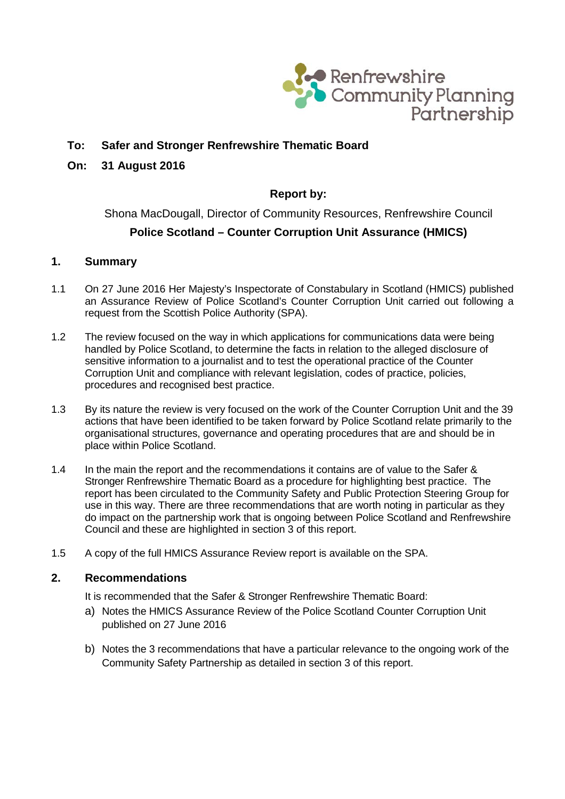

# **To: Safer and Stronger Renfrewshire Thematic Board**

## **On: 31 August 2016**

# **Report by:**

# Shona MacDougall, Director of Community Resources, Renfrewshire Council **Police Scotland – Counter Corruption Unit Assurance (HMICS)**

#### **1. Summary**

- 1.1 On 27 June 2016 Her Majesty's Inspectorate of Constabulary in Scotland (HMICS) published an Assurance Review of Police Scotland's Counter Corruption Unit carried out following a request from the Scottish Police Authority (SPA).
- 1.2 The review focused on the way in which applications for communications data were being handled by Police Scotland, to determine the facts in relation to the alleged disclosure of sensitive information to a journalist and to test the operational practice of the Counter Corruption Unit and compliance with relevant legislation, codes of practice, policies, procedures and recognised best practice.
- 1.3 By its nature the review is very focused on the work of the Counter Corruption Unit and the 39 actions that have been identified to be taken forward by Police Scotland relate primarily to the organisational structures, governance and operating procedures that are and should be in place within Police Scotland.
- 1.4 In the main the report and the recommendations it contains are of value to the Safer & Stronger Renfrewshire Thematic Board as a procedure for highlighting best practice. The report has been circulated to the Community Safety and Public Protection Steering Group for use in this way. There are three recommendations that are worth noting in particular as they do impact on the partnership work that is ongoing between Police Scotland and Renfrewshire Council and these are highlighted in section 3 of this report.
- 1.5 A copy of the full HMICS Assurance Review report is available on the SPA.

#### **2. Recommendations**

It is recommended that the Safer & Stronger Renfrewshire Thematic Board:

- a) Notes the HMICS Assurance Review of the Police Scotland Counter Corruption Unit published on 27 June 2016
- b) Notes the 3 recommendations that have a particular relevance to the ongoing work of the Community Safety Partnership as detailed in section 3 of this report.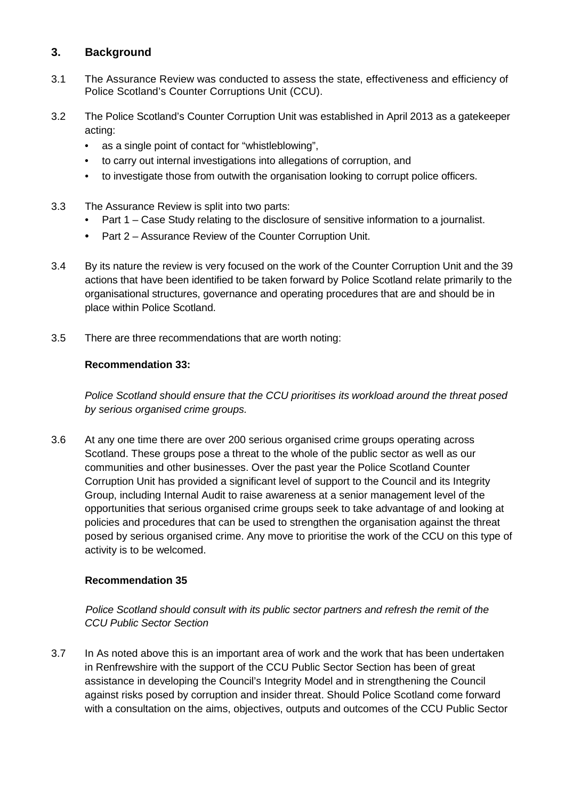# **3. Background**

- 3.1 The Assurance Review was conducted to assess the state, effectiveness and efficiency of Police Scotland's Counter Corruptions Unit (CCU).
- 3.2 The Police Scotland's Counter Corruption Unit was established in April 2013 as a gatekeeper acting:
	- as a single point of contact for "whistleblowing",
	- to carry out internal investigations into allegations of corruption, and
	- to investigate those from outwith the organisation looking to corrupt police officers.
- 3.3 The Assurance Review is split into two parts:
	- Part 1 Case Study relating to the disclosure of sensitive information to a journalist.
	- Part 2 Assurance Review of the Counter Corruption Unit.
- 3.4 By its nature the review is very focused on the work of the Counter Corruption Unit and the 39 actions that have been identified to be taken forward by Police Scotland relate primarily to the organisational structures, governance and operating procedures that are and should be in place within Police Scotland.
- 3.5 There are three recommendations that are worth noting:

## **Recommendation 33:**

*Police Scotland should ensure that the CCU prioritises its workload around the threat posed by serious organised crime groups.*

3.6 At any one time there are over 200 serious organised crime groups operating across Scotland. These groups pose a threat to the whole of the public sector as well as our communities and other businesses. Over the past year the Police Scotland Counter Corruption Unit has provided a significant level of support to the Council and its Integrity Group, including Internal Audit to raise awareness at a senior management level of the opportunities that serious organised crime groups seek to take advantage of and looking at policies and procedures that can be used to strengthen the organisation against the threat posed by serious organised crime. Any move to prioritise the work of the CCU on this type of activity is to be welcomed.

## **Recommendation 35**

*Police Scotland should consult with its public sector partners and refresh the remit of the CCU Public Sector Section*

3.7 In As noted above this is an important area of work and the work that has been undertaken in Renfrewshire with the support of the CCU Public Sector Section has been of great assistance in developing the Council's Integrity Model and in strengthening the Council against risks posed by corruption and insider threat. Should Police Scotland come forward with a consultation on the aims, objectives, outputs and outcomes of the CCU Public Sector